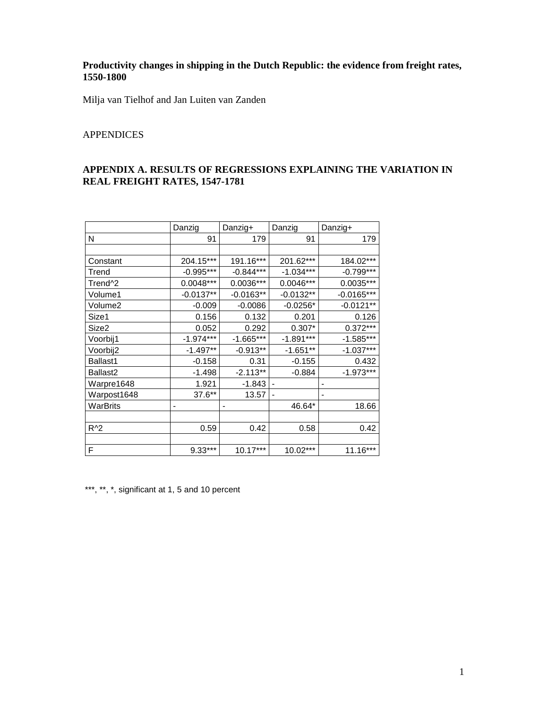### **Productivity changes in shipping in the Dutch Republic: the evidence from freight rates, 1550-1800**

Milja van Tielhof and Jan Luiten van Zanden

# APPENDICES

# **APPENDIX A. RESULTS OF REGRESSIONS EXPLAINING THE VARIATION IN REAL FREIGHT RATES, 1547-1781**

|                     | Danzig                       | Danzig+     | Danzig                   | Danzig+      |
|---------------------|------------------------------|-------------|--------------------------|--------------|
| N                   | 91                           | 179         | 91                       | 179          |
|                     |                              |             |                          |              |
| Constant            | 204.15***                    | 191.16***   | 201.62***                | 184.02***    |
| Trend               | $-0.995***$                  | $-0.844***$ | $-1.034***$              | $-0.799***$  |
| Trend <sup>^2</sup> | 0.0048***                    | $0.0036***$ | 0.0046***                | $0.0035***$  |
| Volume1             | $-0.0137**$                  | $-0.0163**$ | $-0.0132**$              | $-0.0165***$ |
| Volume2             | $-0.009$                     | $-0.0086$   | $-0.0256*$               | $-0.0121**$  |
| Size1               | 0.156                        | 0.132       | 0.201                    | 0.126        |
| Size2               | 0.052                        | 0.292       | $0.307*$                 | $0.372***$   |
| Voorbij1            | $-1.974***$                  | $-1.665***$ | $-1.891***$              | $-1.585***$  |
| Voorbij2            | $-1.497**$                   | $-0.913**$  | $-1.651**$               | $-1.037***$  |
| Ballast1            | $-0.158$                     | 0.31        | $-0.155$                 | 0.432        |
| Ballast2            | $-1.498$                     | $-2.113**$  | $-0.884$                 | $-1.973***$  |
| Warpre1648          | 1.921                        | $-1.843$    |                          |              |
| Warpost1648         | 37.6**                       | 13.57       | $\overline{\phantom{0}}$ |              |
| WarBrits            | $\qquad \qquad \blacksquare$ | -           | 46.64*                   | 18.66        |
|                     |                              |             |                          |              |
| $R^2$               | 0.59                         | 0.42        | 0.58                     | 0.42         |
|                     |                              |             |                          |              |
| F                   | 9.33***                      | $10.17***$  | 10.02***                 | 11.16***     |

\*\*\*, \*\*, \*, significant at 1, 5 and 10 percent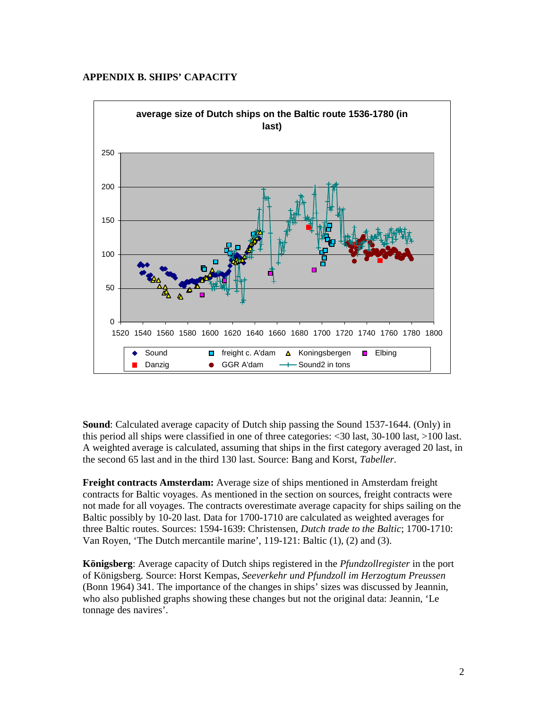#### **APPENDIX B. SHIPS' CAPACITY**



**Sound**: Calculated average capacity of Dutch ship passing the Sound 1537-1644. (Only) in this period all ships were classified in one of three categories: <30 last, 30-100 last, >100 last. A weighted average is calculated, assuming that ships in the first category averaged 20 last, in the second 65 last and in the third 130 last. Source: Bang and Korst, *Tabeller*.

**Freight contracts Amsterdam:** Average size of ships mentioned in Amsterdam freight contracts for Baltic voyages. As mentioned in the section on sources, freight contracts were not made for all voyages. The contracts overestimate average capacity for ships sailing on the Baltic possibly by 10-20 last. Data for 1700-1710 are calculated as weighted averages for three Baltic routes. Sources: 1594-1639: Christensen, *Dutch trade to the Baltic*; 1700-1710: Van Royen, 'The Dutch mercantile marine', 119-121: Baltic (1), (2) and (3).

**Königsberg**: Average capacity of Dutch ships registered in the *Pfundzollregister* in the port of Königsberg. Source: Horst Kempas, *Seeverkehr und Pfundzoll im Herzogtum Preussen* (Bonn 1964) 341. The importance of the changes in ships' sizes was discussed by Jeannin, who also published graphs showing these changes but not the original data: Jeannin, 'Le tonnage des navires'.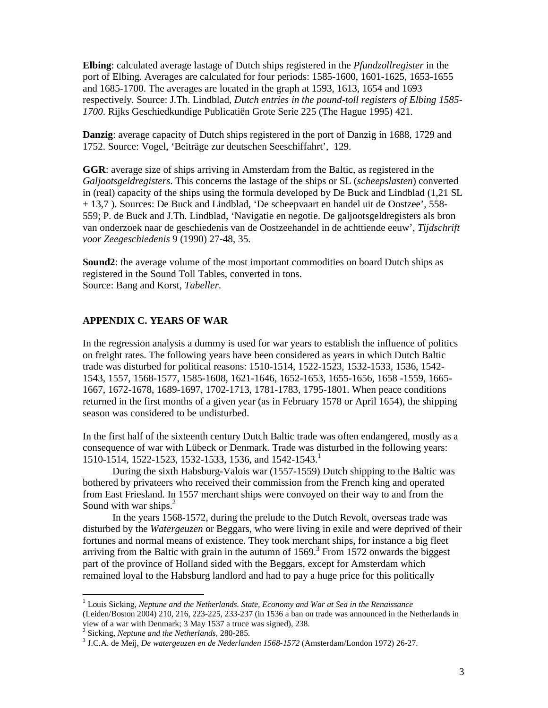**Elbing**: calculated average lastage of Dutch ships registered in the *Pfundzollregister* in the port of Elbing. Averages are calculated for four periods: 1585-1600, 1601-1625, 1653-1655 and 1685-1700. The averages are located in the graph at 1593, 1613, 1654 and 1693 respectively. Source: J.Th. Lindblad, *Dutch entries in the pound-toll registers of Elbing 1585- 1700*. Rijks Geschiedkundige Publicatiën Grote Serie 225 (The Hague 1995) 421.

**Danzig**: average capacity of Dutch ships registered in the port of Danzig in 1688, 1729 and 1752. Source: Vogel, 'Beiträge zur deutschen Seeschiffahrt', 129.

**GGR**: average size of ships arriving in Amsterdam from the Baltic, as registered in the *Galjootsgeldregisters*. This concerns the lastage of the ships or SL (*scheepslasten*) converted in (real) capacity of the ships using the formula developed by De Buck and Lindblad (1,21 SL + 13,7 ). Sources: De Buck and Lindblad, 'De scheepvaart en handel uit de Oostzee', 558- 559; P. de Buck and J.Th. Lindblad, 'Navigatie en negotie. De galjootsgeldregisters als bron van onderzoek naar de geschiedenis van de Oostzeehandel in de achttiende eeuw', *Tijdschrift voor Zeegeschiedenis* 9 (1990) 27-48, 35.

**Sound2**: the average volume of the most important commodities on board Dutch ships as registered in the Sound Toll Tables, converted in tons. Source: Bang and Korst, *Tabeller*.

#### **APPENDIX C. YEARS OF WAR**

In the regression analysis a dummy is used for war years to establish the influence of politics on freight rates. The following years have been considered as years in which Dutch Baltic trade was disturbed for political reasons: 1510-1514, 1522-1523, 1532-1533, 1536, 1542- 1543, 1557, 1568-1577, 1585-1608, 1621-1646, 1652-1653, 1655-1656, 1658 -1559, 1665- 1667, 1672-1678, 1689-1697, 1702-1713, 1781-1783, 1795-1801. When peace conditions returned in the first months of a given year (as in February 1578 or April 1654), the shipping season was considered to be undisturbed.

In the first half of the sixteenth century Dutch Baltic trade was often endangered, mostly as a consequence of war with Lübeck or Denmark. Trade was disturbed in the following years: 1510-1514, 1522-1523, 1532-1533, 1536, and 1542-1543.<sup>1</sup>

During the sixth Habsburg-Valois war (1557-1559) Dutch shipping to the Baltic was bothered by privateers who received their commission from the French king and operated from East Friesland. In 1557 merchant ships were convoyed on their way to and from the Sound with war ships. $<sup>2</sup>$ </sup>

In the years 1568-1572, during the prelude to the Dutch Revolt, overseas trade was disturbed by the *Watergeuzen* or Beggars, who were living in exile and were deprived of their fortunes and normal means of existence. They took merchant ships, for instance a big fleet arriving from the Baltic with grain in the autumn of  $1569$ .<sup>3</sup> From  $1572$  onwards the biggest part of the province of Holland sided with the Beggars, except for Amsterdam which remained loyal to the Habsburg landlord and had to pay a huge price for this politically

-

<sup>1</sup> Louis Sicking, *Neptune and the Netherlands. State, Economy and War at Sea in the Renaissance* (Leiden/Boston 2004) 210, 216, 223-225, 233-237 (in 1536 a ban on trade was announced in the Netherlands in view of a war with Denmark; 3 May 1537 a truce was signed), 238.

<sup>2</sup> Sicking, *Neptune and the Netherlands*, 280-285.

<sup>3</sup> J.C.A. de Meij, *De watergeuzen en de Nederlanden 1568-1572* (Amsterdam/London 1972) 26-27.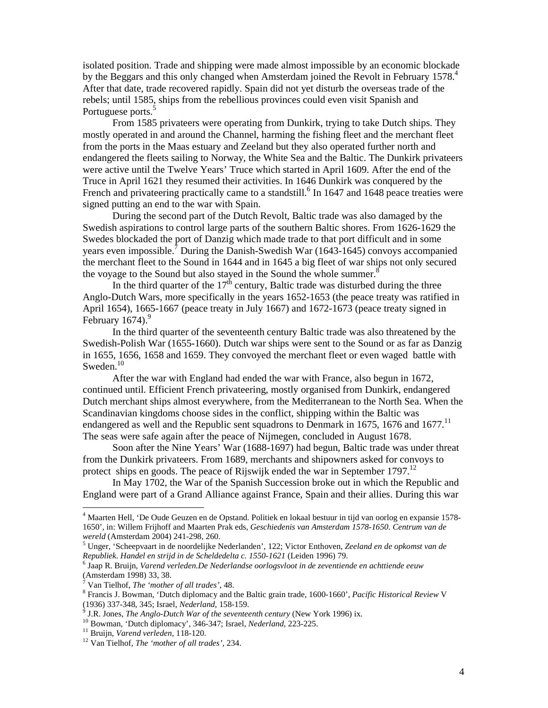isolated position. Trade and shipping were made almost impossible by an economic blockade by the Beggars and this only changed when Amsterdam joined the Revolt in February 1578.<sup>4</sup> After that date, trade recovered rapidly. Spain did not yet disturb the overseas trade of the rebels; until 1585, ships from the rebellious provinces could even visit Spanish and Portuguese ports.<sup>5</sup>

From 1585 privateers were operating from Dunkirk, trying to take Dutch ships. They mostly operated in and around the Channel, harming the fishing fleet and the merchant fleet from the ports in the Maas estuary and Zeeland but they also operated further north and endangered the fleets sailing to Norway, the White Sea and the Baltic. The Dunkirk privateers were active until the Twelve Years' Truce which started in April 1609. After the end of the Truce in April 1621 they resumed their activities. In 1646 Dunkirk was conquered by the French and privateering practically came to a standstill.<sup>6</sup> In 1647 and 1648 peace treaties were signed putting an end to the war with Spain.

During the second part of the Dutch Revolt, Baltic trade was also damaged by the Swedish aspirations to control large parts of the southern Baltic shores. From 1626-1629 the Swedes blockaded the port of Danzig which made trade to that port difficult and in some years even impossible.<sup>7</sup> During the Danish-Swedish War (1643-1645) convoys accompanied the merchant fleet to the Sound in 1644 and in 1645 a big fleet of war ships not only secured the voyage to the Sound but also stayed in the Sound the whole summer.<sup>8</sup>

In the third quarter of the  $17<sup>th</sup>$  century, Baltic trade was disturbed during the three Anglo-Dutch Wars, more specifically in the years 1652-1653 (the peace treaty was ratified in April 1654), 1665-1667 (peace treaty in July 1667) and 1672-1673 (peace treaty signed in February  $1674$ ).<sup>9</sup>

In the third quarter of the seventeenth century Baltic trade was also threatened by the Swedish-Polish War (1655-1660). Dutch war ships were sent to the Sound or as far as Danzig in 1655, 1656, 1658 and 1659. They convoyed the merchant fleet or even waged battle with Sweden. $10$ 

After the war with England had ended the war with France, also begun in 1672, continued until. Efficient French privateering, mostly organised from Dunkirk, endangered Dutch merchant ships almost everywhere, from the Mediterranean to the North Sea. When the Scandinavian kingdoms choose sides in the conflict, shipping within the Baltic was endangered as well and the Republic sent squadrons to Denmark in 1675, 1676 and 1677.<sup>11</sup> The seas were safe again after the peace of Nijmegen, concluded in August 1678.

 Soon after the Nine Years' War (1688-1697) had begun, Baltic trade was under threat from the Dunkirk privateers. From 1689, merchants and shipowners asked for convoys to protect ships en goods. The peace of Rijswijk ended the war in September 1797.<sup>12</sup>

 In May 1702, the War of the Spanish Succession broke out in which the Republic and England were part of a Grand Alliance against France, Spain and their allies. During this war

-

<sup>4</sup> Maarten Hell, 'De Oude Geuzen en de Opstand. Politiek en lokaal bestuur in tijd van oorlog en expansie 1578- 1650', in: Willem Frijhoff and Maarten Prak eds, *Geschiedenis van Amsterdam 1578-1650. Centrum van de wereld* (Amsterdam 2004) 241-298, 260.

<sup>5</sup> Unger, 'Scheepvaart in de noordelijke Nederlanden', 122; Victor Enthoven, *Zeeland en de opkomst van de Republiek. Handel en strijd in de Scheldedelta c. 1550-1621* (Leiden 1996) 79.

<sup>6</sup> Jaap R. Bruijn, *Varend verleden.De Nederlandse oorlogsvloot in de zeventiende en achttiende eeuw* (Amsterdam 1998) 33, 38.

<sup>7</sup> Van Tielhof, *The 'mother of all trades'*, 48.

<sup>8</sup> Francis J. Bowman, 'Dutch diplomacy and the Baltic grain trade, 1600-1660', *Pacific Historical Review* V (1936) 337-348, 345; Israel, *Nederland*, 158-159.

<sup>9</sup> J.R. Jones, *The Anglo-Dutch War of the seventeenth century* (New York 1996) ix.

<sup>10</sup> Bowman, 'Dutch diplomacy', 346-347; Israel, *Nederland*, 223-225.

<sup>11</sup> Bruijn, *Varend verleden*, 118-120.

<sup>12</sup> Van Tielhof, *The 'mother of all trades'*, 234.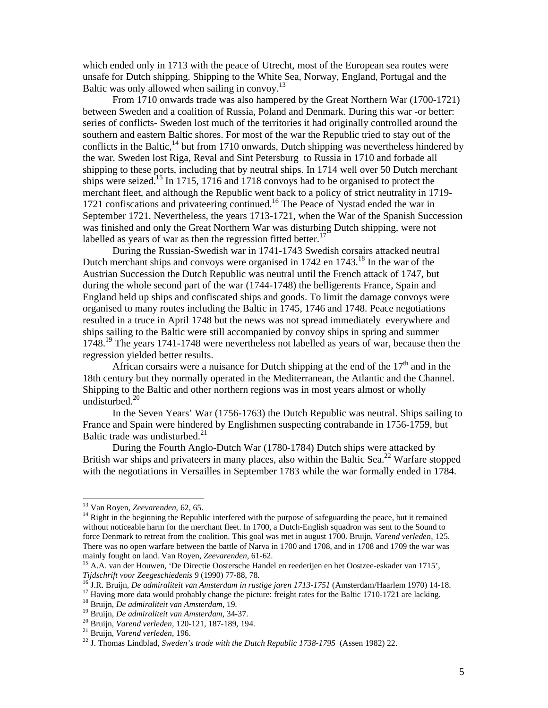which ended only in 1713 with the peace of Utrecht, most of the European sea routes were unsafe for Dutch shipping. Shipping to the White Sea, Norway, England, Portugal and the Baltic was only allowed when sailing in convoy. $^{13}$ 

 From 1710 onwards trade was also hampered by the Great Northern War (1700-1721) between Sweden and a coalition of Russia, Poland and Denmark. During this war -or better: series of conflicts- Sweden lost much of the territories it had originally controlled around the southern and eastern Baltic shores. For most of the war the Republic tried to stay out of the conflicts in the Baltic, $^{14}$  but from 1710 onwards, Dutch shipping was nevertheless hindered by the war. Sweden lost Riga, Reval and Sint Petersburg to Russia in 1710 and forbade all shipping to these ports, including that by neutral ships. In 1714 well over 50 Dutch merchant ships were seized.<sup>15</sup> In 1715, 1716 and 1718 convoys had to be organised to protect the merchant fleet, and although the Republic went back to a policy of strict neutrality in 1719- 1721 confiscations and privateering continued.<sup>16</sup> The Peace of Nystad ended the war in September 1721. Nevertheless, the years 1713-1721, when the War of the Spanish Succession was finished and only the Great Northern War was disturbing Dutch shipping, were not labelled as years of war as then the regression fitted better.<sup>17</sup>

 During the Russian-Swedish war in 1741-1743 Swedish corsairs attacked neutral Dutch merchant ships and convoys were organised in 1742 en 1743.<sup>18</sup> In the war of the Austrian Succession the Dutch Republic was neutral until the French attack of 1747, but during the whole second part of the war (1744-1748) the belligerents France, Spain and England held up ships and confiscated ships and goods. To limit the damage convoys were organised to many routes including the Baltic in 1745, 1746 and 1748. Peace negotiations resulted in a truce in April 1748 but the news was not spread immediately everywhere and ships sailing to the Baltic were still accompanied by convoy ships in spring and summer 1748.<sup>19</sup> The years 1741-1748 were nevertheless not labelled as years of war, because then the regression yielded better results.

African corsairs were a nuisance for Dutch shipping at the end of the  $17<sup>th</sup>$  and in the 18th century but they normally operated in the Mediterranean, the Atlantic and the Channel. Shipping to the Baltic and other northern regions was in most years almost or wholly undisturbed.<sup>20</sup>

 In the Seven Years' War (1756-1763) the Dutch Republic was neutral. Ships sailing to France and Spain were hindered by Englishmen suspecting contrabande in 1756-1759, but Baltic trade was undisturbed. $^{21}$ 

 During the Fourth Anglo-Dutch War (1780-1784) Dutch ships were attacked by British war ships and privateers in many places, also within the Baltic Sea.<sup>22</sup> Warfare stopped with the negotiations in Versailles in September 1783 while the war formally ended in 1784.

-

<sup>13</sup> Van Royen, *Zeevarenden*, 62, 65.

 $14$  Right in the beginning the Republic interfered with the purpose of safeguarding the peace, but it remained without noticeable harm for the merchant fleet. In 1700, a Dutch-English squadron was sent to the Sound to force Denmark to retreat from the coalition. This goal was met in august 1700. Bruijn, *Varend verleden*, 125. There was no open warfare between the battle of Narva in 1700 and 1708, and in 1708 and 1709 the war was mainly fought on land. Van Royen, *Zeevarenden*, 61-62.

<sup>&</sup>lt;sup>15</sup> A.A. van der Houwen, 'De Directie Oostersche Handel en reederijen en het Oostzee-eskader van 1715', *Tijdschrift voor Zeegeschiedenis* 9 (1990) 77-88, 78.

<sup>16</sup> J.R. Bruijn, *De admiraliteit van Amsterdam in rustige jaren 1713-1751* (Amsterdam/Haarlem 1970) 14-18.

<sup>&</sup>lt;sup>17</sup> Having more data would probably change the picture: freight rates for the Baltic 1710-1721 are lacking.

<sup>18</sup> Bruijn, *De admiraliteit van Amsterdam*, 19.

<sup>19</sup> Bruijn, *De admiraliteit van Amsterdam*, 34-37.

<sup>20</sup> Bruijn, *Varend verleden*, 120-121, 187-189, 194.

<sup>21</sup> Bruijn, *Varend verleden*, 196.

<sup>&</sup>lt;sup>22</sup> J. Thomas Lindblad, *Sweden's trade with the Dutch Republic 1738-1795* (Assen 1982) 22.